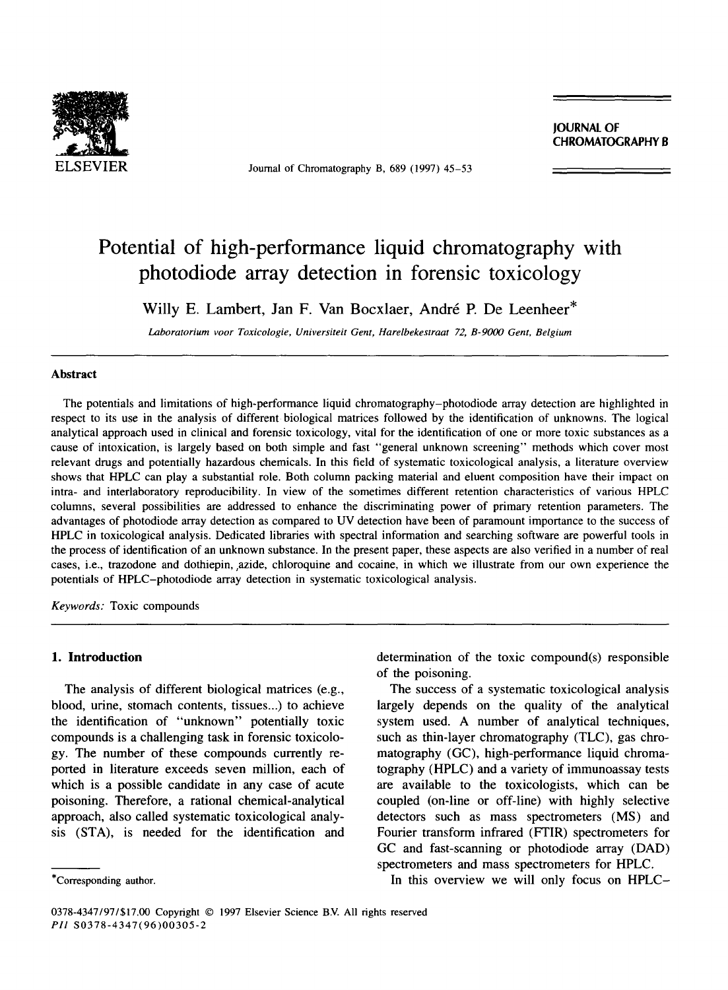

ELSEVIER Journal of Chromatography B, 689 (1997) 45-53

**JOURNAL OF**  CHROMATOGRAPHY B

# **Potential of high-performance liquid chromatography with photodiode array detection in forensic toxicology**

Willy E. Lambert, Jan F. Van Bocxlaer, André P. De Leenheer\*

*Laboratorium voor Toxicologie, Universiteit Gent, Harelbekestraat 72, B-9000 Gent, Belgium* 

#### **Abstract**

The potentials and limitations of high-performance liquid chromatography-photodiode array detection are highlighted in respect to its use in the analysis of different biological matrices followed by the identification of unknowns. The logical analytical approach used in clinical and forensic toxicology, vital for the identification of one or more toxic substances as a cause of intoxication, is largely based on both simple and fast "general unknown screening" methods which cover most relevant drugs and potentially hazardous chemicals. In this field of systematic toxicological analysis, a literature overview shows that HPLC can play a substantial role. Both column packing material and eluent composition have their impact on intra- and interlaboratory reproducibility. In view of the sometimes different retention characteristics of various HPLC columns, several possibilities are addressed to enhance the discriminating power of primary retention parameters. The advantages of photodiode array detection as compared to UV detection have been of paramount importance to the success of HPLC in toxicological analysis. Dedicated libraries with spectral information and searching software are powerful tools in the process of identification of an unknown substance. In the present paper, these aspects are also verified in a number of real cases, i.e., trazodone and dothiepin, azide, chloroquine and cocaine, in which we illustrate from our own experience the potentials of HPLC-photodiode array detection in systematic toxicological analysis.

*Keywords:* Toxic compounds

#### 1. **Introduction**

The analysis of different biological matrices (e.g., blood, urine, stomach contents, tissues...) to achieve the identification of "unknown" potentially toxic compounds is a challenging task in forensic toxicology. The number of these compounds currently reported in literature exceeds seven million, each of which is a possible candidate in any case of acute poisoning. Therefore, a rational chemical-analytical approach, also called systematic toxicological analysis (STA), is needed for the identification and

determination of the toxic compound(s) responsible of the poisoning.

The success of a systematic toxicological analysis largely depends on the quality of the analytical system used. A number of analytical techniques, such as thin-layer chromatography (TLC), gas chromatography (GC), high-performance liquid chromatography (HPLC) and a variety of immunoassay tests are available to the toxicologists, which can be coupled (on-line or off-line) with highly selective detectors such as mass spectrometers (MS) and Fourier transform infrared (FTIR) spectrometers for GC and fast-scanning or photodiode array (DAD) spectrometers and mass spectrometers for HPLC.

In this overview we will only focus on HPLC-

<sup>\*</sup>Corresponding author.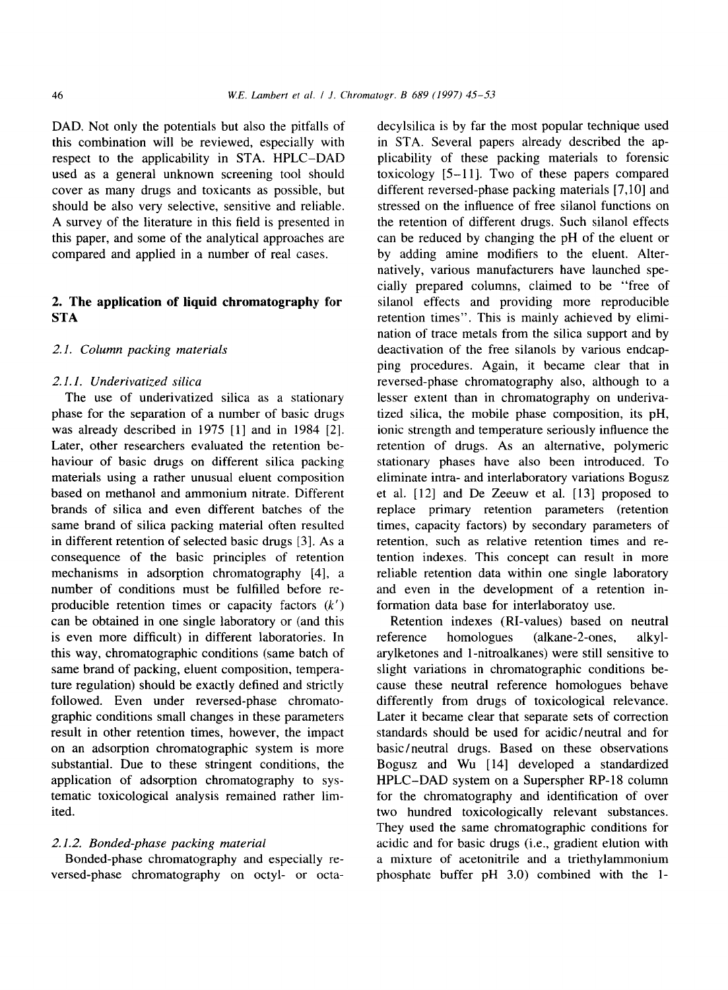DAD. Not only the potentials but also the pitfalls of this combination will be reviewed, especially with respect to the applicability in STA. HPLC-DAD used as a general unknown screening tool should cover as many drugs and toxicants as possible, but should be also very selective, sensitive and reliable. A survey of the literature in this field is presented in this paper, and some of the analytical approaches are compared and applied in a number of real cases.

# **2. The application of liquid chromatography for STA**

## *2.1. Column packing materials*

#### *2.1.1. Underivatized silica*

The use of underivatized silica as a stationary phase for the separation of a number of basic drugs was already described in 1975 [1] and in 1984 [2]. Later, other researchers evaluated the retention behaviour of basic drugs on different silica packing materials using a rather unusual eluent composition based on methanol and ammonium nitrate. Different brands of silica and even different batches of the same brand of silica packing material often resulted in different retention of selected basic drugs [3]. As a consequence of the basic principles of retention mechanisms in adsorption chromatography [4], a number of conditions must be fulfilled before reproducible retention times or capacity factors  $(k')$ can be obtained in one single laboratory or (and this is even more difficult) in different laboratories. In this way, chromatographic conditions (same batch of same brand of packing, eluent composition, temperature regulation) should be exactly defined and strictly followed. Even under reversed-phase chromatographic conditions small changes in these parameters result in other retention times, however, the impact on an adsorption chromatographic system is more substantial. Due to these stringent conditions, the application of adsorption chromatography to systematic toxicological analysis remained rather limited.

## *2.1.2. Bonded-phase packing material*

Bonded-phase chromatography and especially reversed-phase chromatography on octyl- or octadecylsilica is by far the most popular technique used in STA. Several papers already described the applicability of these packing materials to forensic toxicology [5-11]. Two of these papers compared different reversed-phase packing materials [7,10] and stressed on the influence of free silanol functions on the retention of different drugs. Such silanol effects can be reduced by changing the pH of the eluent or by adding amine modifiers to the eluent. Alternatively, various manufacturers have launched specially prepared columns, claimed to be "free of silanol effects and providing more reproducible retention times". This is mainly achieved by elimination of trace metals from the silica support and by deactivation of the free silanols by various endcapping procedures. Again, it became clear that in reversed-phase chromatography also, although to a lesser extent than in chromatography on underivatized silica, the mobile phase composition, its pH, ionic strength and temperature seriously influence the retention of drugs. As an alternative, polymeric stationary phases have also been introduced. To eliminate intra- and interlaboratory variations Bogusz et al. [12] and De Zeeuw et al. [13] proposed to replace primary retention parameters (retention times, capacity factors) by secondary parameters of retention, such as relative retention times and retention indexes. This concept can result in more reliable retention data within one single laboratory and even in the development of a retention information data base for interlaboratoy use.

Retention indexes (RI-values) based on neutral reference homologues (alkane-2-ones, alkylarylketones and 1-nitroalkanes) were still sensitive to slight variations in chromatographic conditions because these neutral reference homologues behave differently from drugs of toxicological relevance. Later it became clear that separate sets of correction standards should be used for acidic/neutral and for basic/neutral drugs. Based on these observations Bogusz and Wu [14] developed a standardized HPLC-DAD system on a Superspher RP-18 column for the chromatography and identification of over two hundred toxicologically relevant substances. They used the same chromatographic conditions for acidic and for basic drugs (i.e., gradient elution with a mixture of acetonitrile and a triethylammonium phosphate buffer pH 3.0) combined with the 1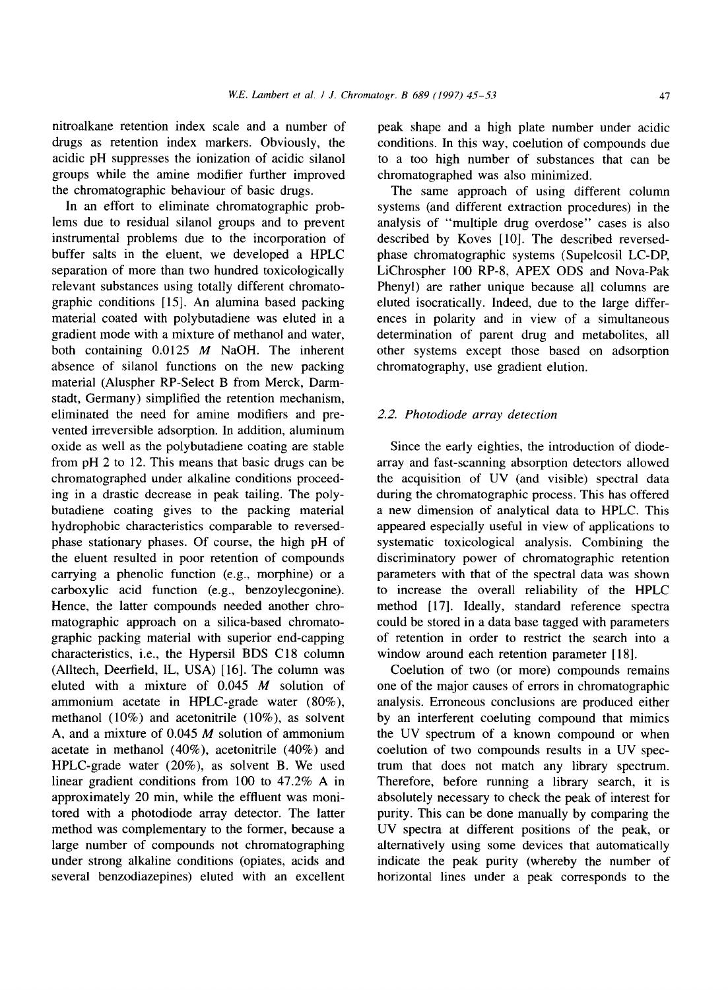nitroalkane retention index scale and a number of drugs as retention index markers. Obviously, the acidic pH suppresses the ionization of acidic silanol groups while the amine modifier further improved the chromatographic behaviour of basic drugs.

In an effort to eliminate chromatographic problems due to residual silanol groups and to prevent instrumental problems due to the incorporation of buffer salts in the eluent, we developed a HPLC separation of more than two hundred toxicologically relevant substances using totally different chromatographic conditions [15]. An alumina based packing material coated with polybutadiene was eluted in a gradient mode with a mixture of methanol and water, both containing 0.0125 M NaOH. The inherent absence of silanol functions on the new packing material (Aluspher RP-Select B from Merck, Darmstadt, Germany) simplified the retention mechanism, eliminated the need for amine modifiers and prevented irreversible adsorption. In addition, aluminum oxide as well as the polybutadiene coating are stable from pH 2 to 12. This means that basic drugs can be chromatographed under alkaline conditions proceeding in a drastic decrease in peak tailing. The polybutadiene coating gives to the packing material hydrophobic characteristics comparable to reversedphase stationary phases. Of course, the high pH of the eluent resulted in poor retention of compounds carrying a phenolic function (e.g., morphine) or a carboxylic acid function (e.g., benzoylecgonine). Hence, the latter compounds needed another chromatographic approach on a silica-based chromatographic packing material with superior end-capping characteristics, i.e., the Hypersil BDS C18 column (Alltech, Deerfield, IL, USA) [16]. The column was eluted with a mixture of 0.045 M solution of ammonium acetate in HPLC-grade water (80%), methanol (10%) and acetonitrile (10%), as solvent A, and a mixture of  $0.045$  *M* solution of ammonium acetate in methanol (40%), acetonitrile (40%) and HPLC-grade water (20%), as solvent B. We used linear gradient conditions from 100 to 47.2% A in approximately 20 min, while the effluent was monitored with a photodiode array detector. The latter method was complementary to the former, because a large number of compounds not chromatographing under strong alkaline conditions (opiates, acids and several benzodiazepines) eluted with an excellent

peak shape and a high plate number under acidic conditions. In this way, coelution of compounds due to a too high number of substances that can be chromatographed was also minimized.

The same approach of using different column systems (and different extraction procedures) in the analysis of "multiple drug overdose" cases is also described by Koves [10]. The described reversedphase chromatographic systems (Supelcosil LC-DP, LiChrospher 100 RP-8, APEX ODS and Nova-Pak Phenyl) are rather unique because all columns are eluted isocratically. Indeed, due to the large differences in polarity and in view of a simultaneous determination of parent drug and metabolites, all other systems except those based on adsorption chromatography, use gradient elution.

#### *2.2. Photodiode array detection*

Since the early eighties, the introduction of diodearray and fast-scanning absorption detectors allowed the acquisition of UV (and visible) spectral data during the chromatographic process. This has offered a new dimension of analytical data to HPLC. This appeared especially useful in view of applications to systematic toxicological analysis. Combining the discriminatory power of chromatographic retention parameters with that of the spectral data was shown to increase the overall reliability of the HPLC method [17]. Ideally, standard reference spectra could be stored in a data base tagged with parameters of retention in order to restrict the search into a window around each retention parameter [18].

Coelution of two (or more) compounds remains one of the major causes of errors in chromatographic analysis. Erroneous conclusions are produced either by an interferent coeluting compound that mimics the UV spectrum of a known compound or when coelution of two compounds results in a UV spectrum that does not match any library spectrum. Therefore, before running a library search, it is absolutely necessary to check the peak of interest for purity. This can be done manually by comparing the UV spectra at different positions of the peak, or alternatively using some devices that automatically indicate the peak purity (whereby the number of horizontal lines under a peak corresponds to the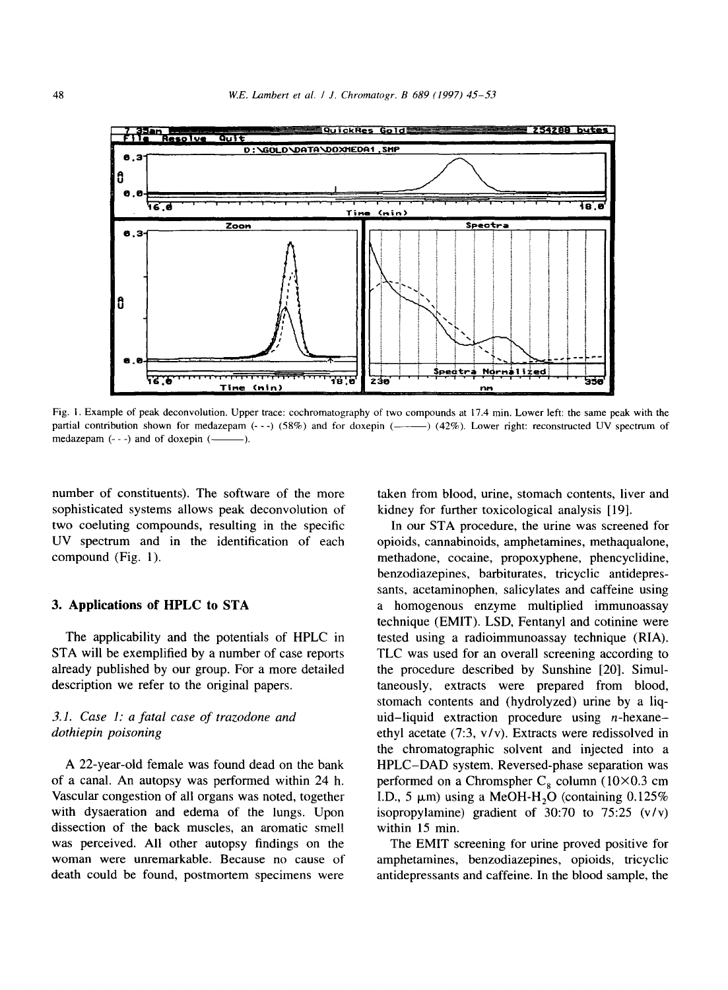

Fig. 1. Example of peak deconvolution. Upper trace: cochromatography of two compounds at 17.4 min. Lower left: the same peak with the partial contribution shown for medazepam  $(-,-)$  (58%) and for doxepin  $($ —— $)$  (42%). Lower right: reconstructed UV spectrum of medazepam  $(- - )$  and of doxepin  $($ .

number of constituents). The software of the more sophisticated systems allows peak deconvolution of two coeluting compounds, resulting in the specific UV spectrum and in the identification of each compound (Fig. 1).

#### **3. Applications of HPLC to STA**

The applicability and the potentials of HPLC in STA will be exemplified by a number of case reports already published by our group. For a more detailed description we refer to the original papers.

# *3.1. Case 1: a fatal case of trazodone and dothiepin poisoning*

A 22-year-old female was found dead on the bank of a canal. An autopsy was performed within 24 h. Vascular congestion of all organs was noted, together with dysaeration and edema of the lungs. Upon dissection of the back muscles, an aromatic smell was perceived. All other autopsy findings on the woman were unremarkable. Because no cause of death could be found, postmortem specimens were

taken from blood, urine, stomach contents, liver and kidney for further toxicological analysis [19].

In our STA procedure, the urine was screened for opioids, cannabinoids, amphetamines, methaqualone, methadone, cocaine, propoxyphene, phencyclidine, benzodiazepines, barbiturates, tricyclic antidepressants, acetaminophen, salicylates and caffeine using a homogenous enzyme multiplied immunoassay technique (EMIT). LSD, Fentanyl and cotinine were tested using a radioimmunoassay technique (RIA). TLC was used for an overall screening according to the procedure described by Sunshine [20]. Simultaneously, extracts were prepared from blood, stomach contents and (hydrolyzed) urine by a liquid-liquid extraction procedure using  $n$ -hexaneethyl acetate (7:3, v/v). Extracts were redissolved in the chromatographic solvent and injected into a HPLC-DAD system. Reversed-phase separation was performed on a Chromspher  $C_8$  column (10×0.3 cm I.D., 5  $\mu$ m) using a MeOH-H<sub>2</sub>O (containing 0.125%) isopropylamine) gradient of 30:70 to 75:25 (v/v) within 15 min.

The EMIT screening for urine proved positive for amphetamines, benzodiazepines, opioids, tricyclic antidepressants and caffeine. In the blood sample, the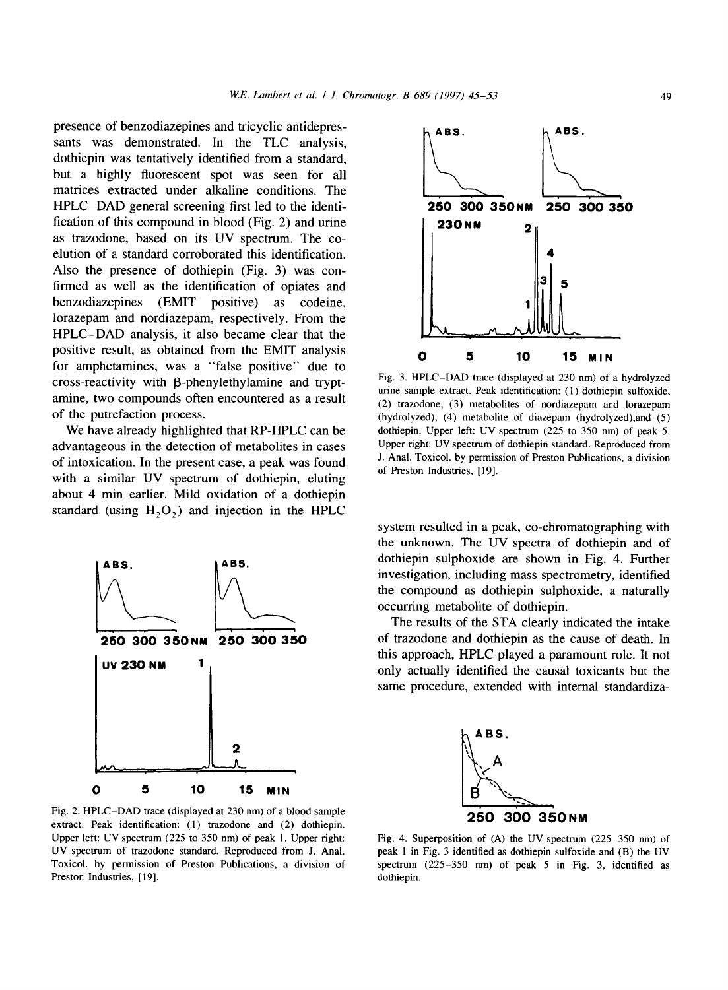presence of benzodiazepines and tricyclic antidepressants was demonstrated. In the TLC analysis, dothiepin was tentatively identified from a standard, but a highly fluorescent spot was seen for all matrices extracted under alkaline conditions. The HPLC-DAD general screening first led to the identification of this compound in blood (Fig. 2) and urine as trazodone, based on its UV spectrum. The coelution of a standard corroborated this identification. Also the presence of dothiepin (Fig. 3) was confirmed as well as the identification of opiates and benzodiazepines (EMIT positive) as codeine, lorazepam and nordiazepam, respectively. From the HPLC-DAD analysis, it also became clear that the positive result, as obtained from the EMIT analysis for amphetamines, was a "false positive" due to  $cross-reactivity$  with  $\beta$ -phenylethylamine and tryptamine, two compounds often encountered as a result of the putrefaction process.

We have already highlighted that RP-HPLC can be advantageous in the detection of metabolites in cases of intoxication. In the present case, a peak was found with a similar UV spectrum of dothiepin, eluting about 4 min earlier. Mild oxidation of a dothiepin standard (using  $H<sub>2</sub>O<sub>2</sub>$ ) and injection in the HPLC



Fig. 2. HPLC-DAD trace (displayed at 230 nm) of a blood sample extract. Peak identification: (1) trazodone and (2) dothiepin. Upper left: UV spectrum (225 to 350 nm) of peak 1. Upper right: UV spectrum of trazodone standard. Reproduced from J. Anal. Toxicol. by permission of Preston Publications, a division of Preston Industries, [19].



Fig. 3. HPLC-DAD trace (displayed at 230 nm) of a hydrolyzed urine sample extract. Peak identification: (1) dothiepin sulfoxide, (2) trazodone, (3) metabolites of nordiazepam and lorazepam (hydrolyzed), (4) metabolite of diazepam (hydrolyzed),and (5) dothiepin. Upper left: UV spectrum (225 to 350 nm) of peak 5. Upper right: UV spectrum of dothiepin standard. Reproduced from J. Anal. Toxicol. by permission of Preston Publications, a division of Preston Industries, [19].

system resulted in a peak, co-chromatographing with the unknown. The UV spectra of dothiepin and of dothiepin sulphoxide are shown in Fig. 4. Further investigation, including mass spectrometry, identified the compound as dothiepin sulphoxide, a naturally occurring metabolite of dothiepin.

The results of the STA clearly indicated the intake of trazodone and dothiepin as the cause of death. In this approach, HPLC played a paramount role. It not only actually identified the causal toxicants but the same procedure, extended with internal standardiza-



Fig. 4. Superposition of (A) the UV spectrum (225-350 nm) of peak 1 in Fig. 3 identified as dothiepin sulfoxide and (B) the UV spectrum (225-350 nm) of peak 5 in Fig. 3, identified as dothiepin.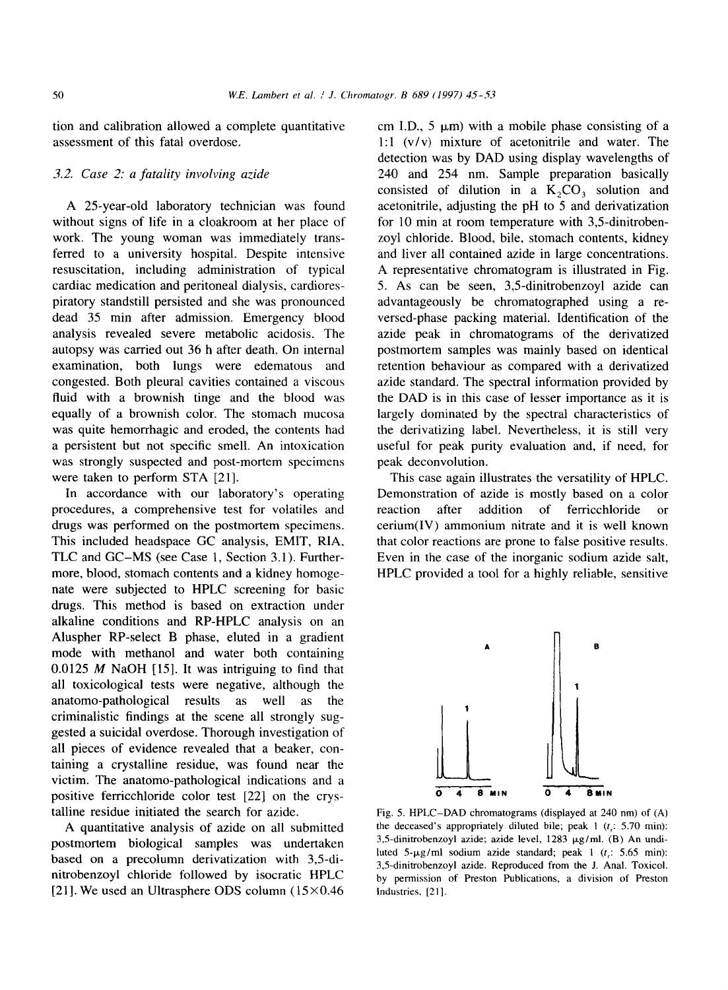tion and calibration allowed a complete quantitative assessment of this fatal overdose.

## *3.2. Case 2: a fatality involving azide*

A 25-year-old laboratory technician was found without signs of life in a cloakroom at her place of work. The young woman was immediately transferred to a university hospital. Despite intensive resuscitation, including administration of typical cardiac medication and peritoneal dialysis, cardiorespiratory standstill persisted and she was pronounced dead 35 min after admission. Emergency blood analysis revealed severe metabolic acidosis. The autopsy was carried out 36 h after death. On internal examination, both lungs were edematous and congested. Both pleural cavities contained a viscous fluid with a brownish tinge and the blood was equally of a brownish color. The stomach mucosa was quite hemorrhagic and eroded, the contents had a persistent but not specific smell. An intoxication was strongly suspected and post-mortem specimens were taken to perform STA [21].

In accordance with our laboratory's operating procedures, a comprehensive test for volatiles and drugs was performed on the postmortem specimens. This included headspace GC analysis, EMIT, R1A, TLC and GC-MS (see Case 1, Section 3.1). Furthermore, blood, stomach contents and a kidney homogenate were subjected to HPLC screening for basic drugs. This method is based on extraction under alkaline conditions and RP-HPLC analysis on an Aluspher RP-select B phase, eluted in a gradient mode with methanol and water both containing 0.0125  $M$  NaOH [15]. It was intriguing to find that all toxicological tests were negative, although the anatomo-pathological results as well as the criminalistic findings at the scene all strongly suggested a suicidal overdose. Thorough investigation of all pieces of evidence revealed that a beaker, containing a crystalline residue, was found near the victim. The anatomo-pathological indications and a positive ferricchloride color test [22] on the crystalline residue initiated the search for azide.

A quantitative analysis of azide on all submitted postmortem biological samples was undertaken based on a precolumn derivatization with 3,5-dinitrobenzoyl chloride followed by isocratic HPLC [21]. We used an Ultrasphere ODS column  $(15 \times 0.46)$  cm I.D.,  $5 \mu m$ ) with a mobile phase consisting of a 1:1 (v/v) mixture of acetonitrile and water. The detection was by DAD using display wavelengths of 240 and 254 nm. Sample preparation basically consisted of dilution in a  $K_2CO_3$  solution and acetonitrile, adjusting the pH to 5 and derivatization for 10 min at room temperature with 3,5-dinitrobenzoyl chloride. Blood, bile, stomach contents, kidney and liver all contained azide in large concentrations. A representative chromatogram is illustrated in Fig. 5. As can be seen, 3,5-dinitrobenzoyl azide can advantageously be chromatographed using a reversed-phase packing material. Identification of the azide peak in chromatograms of the derivatized postmortem samples was mainly based on identical retention behaviour as compared with a derivatized azide standard. The spectral information provided by the DAD is in this case of lesser importance as it is largely dominated by the spectral characteristics of the derivatizing label. Nevertheless, it is still very useful for peak purity evaluation and, if need, for peak deconvolution.

This case again illustrates the versatility of HPLC. Demonstration of azide is mostly based on a color reaction after addition of ferricchloride or cerium(IV) ammonium nitrate and it is well known that color reactions are prone to false positive results. Even in the case of the inorganic sodium azide salt, HPLC provided a tool for a highly reliable, sensitive



Fig. 5. HPLC-DAD chromatograms (displayed at 240 nm) of (A) the deceased's appropriately diluted bile; peak  $1(t, 5.70 \text{ min})$ : 3,5-dinitrobenzoyl azide; azide level, 1283 µg/ml. (B) An undiluted  $5-\mu g/ml$  sodium azide standard; peak 1 (t<sub>r</sub>: 5.65 min): 3,5-dinitrobenzoyl azide. Reproduced from the J. Anal. Toxicol. by permission of Preston Publications, a division of Preston Industries, [21].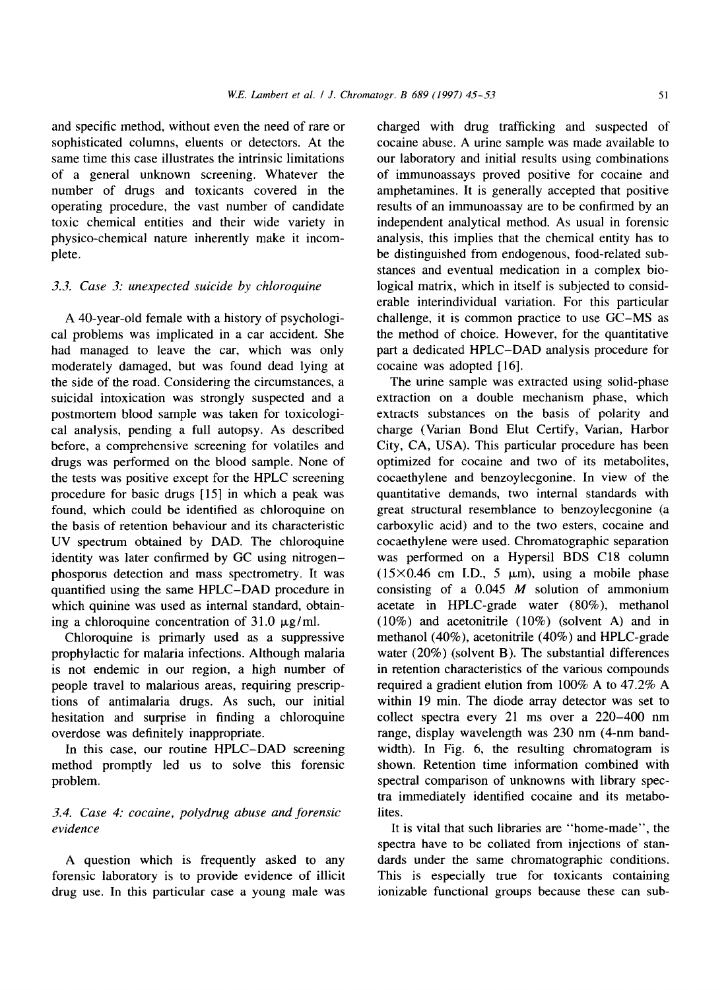and specific method, without even the need of rare or sophisticated columns, eluents or detectors. At the same time this case illustrates the intrinsic limitations of a general unknown screening. Whatever the number of drugs and toxicants covered in the operating procedure, the vast number of candidate toxic chemical entities and their wide variety in physico-chemical nature inherently make it incomplete.

## *3.3. Case 3: unexpected suicide by chloroquine*

A 40-year-old female with a history of psychological problems was implicated in a car accident. She had managed to leave the car, which was only moderately damaged, but was found dead lying at the side of the road. Considering the circumstances, a suicidal intoxication was strongly suspected and a postmortem blood sample was taken for toxicological analysis, pending a full autopsy. As described before, a comprehensive screening for volatiles and drugs was performed on the blood sample. None of the tests was positive except for the HPLC screening procedure for basic drugs [15] in which a peak was found, which could be identified as chloroquine on the basis of retention behaviour and its characteristic UV spectrum obtained by DAD. The chloroquine identity was later confirmed by GC using nitrogenphosporus detection and mass spectrometry. It was quantified using the same HPLC-DAD procedure in which quinine was used as internal standard, obtaining a chloroquine concentration of  $31.0 \mu$ g/ml.

Chloroquine is primarly used as a suppressive prophylactic for malaria infections. Although malaria is not endemic in our region, a high number of people travel to malarious areas, requiring prescriptions of antimalaria drugs. As such, our initial hesitation and surprise in finding a chloroquine overdose was definitely inappropriate.

In this case, our routine HPLC-DAD screening method promptly led us to solve this forensic problem.

# *3.4. Case 4: cocaine, polydrug abuse and forensic evidence*

A question which is frequently asked to any forensic laboratory is to provide evidence of illicit drug use. In this particular case a young male was

charged with drug trafficking and suspected of cocaine abuse. A urine sample was made available to our laboratory and initial results using combinations of immunoassays proved positive for cocaine and amphetamines. It is generally accepted that positive results of an immunoassay are to be confirmed by an independent analytical method. As usual in forensic analysis, this implies that the chemical entity has to be distinguished from endogenous, food-related substances and eventual medication in a complex biological matrix, which in itself is subjected to considerable interindividual variation. For this particular challenge, it is common practice to use GC-MS as the method of choice. However, for the quantitative part a dedicated HPLC-DAD analysis procedure for cocaine was adopted [16].

The urine sample was extracted using solid-phase extraction on a double mechanism phase, which extracts substances on the basis of polarity and charge (Varian Bond Elut Certify, Varian, Harbor City, CA, USA). This particular procedure has been optimized for cocaine and two of its metabolites, cocaethylene and benzoylecgonine. In view of the quantitative demands, two internal standards with great structural resemblance to benzoylecgonine (a carboxylic acid) and to the two esters, cocaine and cocaethylene were used. Chromatographic separation was performed on a Hypersil BDS C18 column  $(15\times0.46$  cm I.D., 5  $\mu$ m), using a mobile phase consisting of a  $0.045$  *M* solution of ammonium acetate in HPLC-grade water (80%), methanol (10%) and acetonitrile (10%) (solvent A) and in methanol (40%), acetonitrile (40%) and HPLC-grade water (20%) (solvent B). The substantial differences in retention characteristics of the various compounds required a gradient elution from 100% A to 47.2% A within 19 min. The diode array detector was set to collect spectra every 21 ms over a 220-400 nm range, display wavelength was 230 nm (4-nm bandwidth). In Fig. 6, the resulting chromatogram is shown. Retention time information combined with spectral comparison of unknowns with library spectra immediately identified cocaine and its metabolites.

It is vital that such libraries are "home-made", the spectra have to be collated from injections of standards under the same chromatographic conditions. This is especially true for toxicants containing ionizable functional groups because these can sub-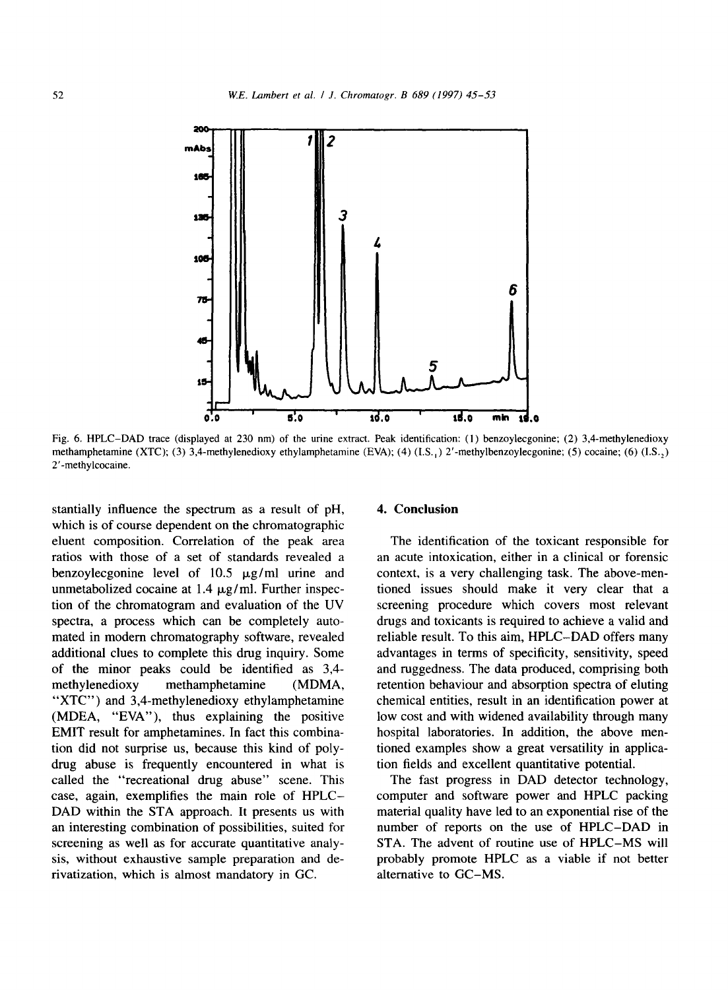

Fig. 6. HPLC-DAD trace (displayed at 230 nm) of the urine extract. Peak identification: (1) benzoylecgonine; (2) 3,4-methylenedioxy methamphetamine (XTC); (3) 3,4-methylenedioxy ethylamphetamine (EVA); (4) (I.S., ) 2'-methylbenzoylecgonine; (5) cocaine; (6) (I.S., ) 2'-methylcocaine.

stantially influence the spectrum as a result of pH, which is of course dependent on the chromatographic eluent composition. Correlation of the peak area ratios with those of a set of standards revealed a benzoylecgonine level of  $10.5 \mu g/ml$  urine and unmetabolized cocaine at  $1.4 \mu g/ml$ . Further inspection of the chromatogram and evaluation of the UV spectra, a process which can be completely automated in modern chromatography software, revealed additional clues to complete this drug inquiry. Some of the minor peaks could be identified as 3,4 methylenedioxy methamphetamine (MDMA, "XTC") and 3,4-methylenedioxy ethylamphetamine (MDEA, "EVA"), thus explaining the positive EMIT result for amphetamines. In fact this combination did not surprise us, because this kind of polydrug abuse is frequently encountered in what is called the "recreational drug abuse" scene. This case, again, exemplifies the main role of HPLC-DAD within the STA approach. It presents us with an interesting combination of possibilities, suited for screening as well as for accurate quantitative analysis, without exhaustive sample preparation and derivatization, which is almost mandatory in GC.

#### **4. Conclusion**

The identification of the toxicant responsible for an acute intoxication, either in a clinical or forensic context, is a very challenging task. The above-mentioned issues should make it very clear that a screening procedure which covers most relevant drugs and toxicants is required to achieve a valid and reliable result. To this aim, HPLC-DAD offers many advantages in terms of specificity, sensitivity, speed and ruggedness. The data produced, comprising both retention behaviour and absorption spectra of eluting chemical entities, result in an identification power at low cost and with widened availability through many hospital laboratories. In addition, the above mentioned examples show a great versatility in application fields and excellent quantitative potential.

The fast progress in DAD detector technology, computer and software power and HPLC packing material quality have led to an exponential rise of the number of reports on the use of HPLC-DAD in STA. The advent of routine use of HPLC-MS will probably promote HPLC as a viable if not better alternative to GC-MS.